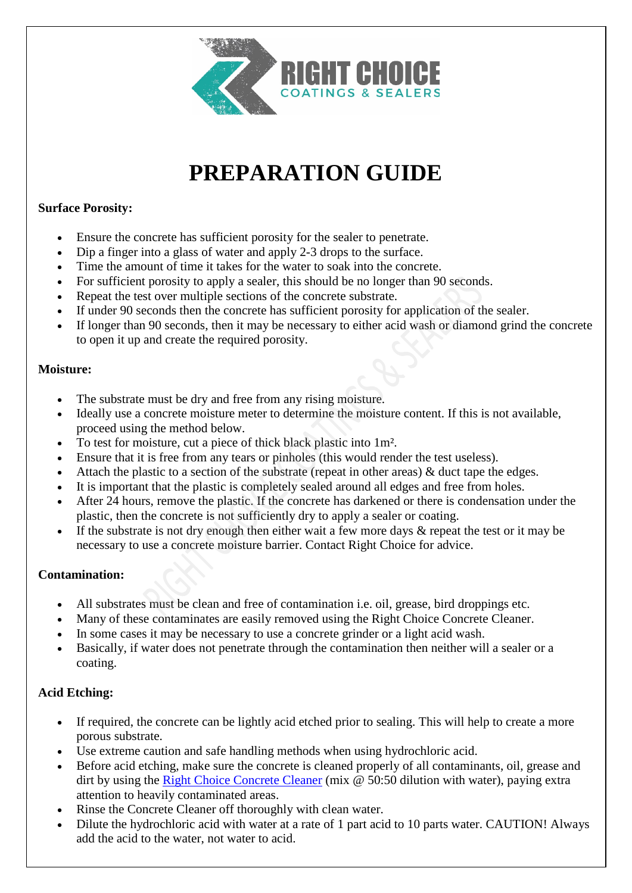

# **PREPARATION GUIDE**

### **Surface Porosity:**

- Ensure the concrete has sufficient porosity for the sealer to penetrate.
- Dip a finger into a glass of water and apply 2-3 drops to the surface.
- Time the amount of time it takes for the water to soak into the concrete.
- For sufficient porosity to apply a sealer, this should be no longer than 90 seconds.
- Repeat the test over multiple sections of the concrete substrate.
- If under 90 seconds then the concrete has sufficient porosity for application of the sealer.
- If longer than 90 seconds, then it may be necessary to either acid wash or diamond grind the concrete to open it up and create the required porosity.

#### **Moisture:**

- The substrate must be dry and free from any rising moisture.
- Ideally use a concrete moisture meter to determine the moisture content. If this is not available, proceed using the method below.
- To test for moisture, cut a piece of thick black plastic into 1m².
- Ensure that it is free from any tears or pinholes (this would render the test useless).
- Attach the plastic to a section of the substrate (repeat in other areas) & duct tape the edges.
- It is important that the plastic is completely sealed around all edges and free from holes.
- After 24 hours, remove the plastic. If the concrete has darkened or there is condensation under the plastic, then the concrete is not sufficiently dry to apply a sealer or coating.
- If the substrate is not dry enough then either wait a few more days  $\&$  repeat the test or it may be necessary to use a concrete moisture barrier. Contact Right Choice for advice.

## **Contamination:**

- All substrates must be clean and free of contamination i.e. oil, grease, bird droppings etc.
- Many of these contaminates are easily removed using the Right Choice Concrete Cleaner.
- In some cases it may be necessary to use a concrete grinder or a light acid wash.
- Basically, if water does not penetrate through the contamination then neither will a sealer or a coating.

## **Acid Etching:**

- If required, the concrete can be lightly acid etched prior to sealing. This will help to create a more porous substrate.
- Use extreme caution and safe handling methods when using hydrochloric acid.
- Before acid etching, make sure the concrete is cleaned properly of all contaminants, oil, grease and dirt by using the [Right Choice Concrete Cleaner](https://concretecoatingsealers.com.au/product/concrete-cleaner/) (mix @ 50:50 dilution with water), paying extra attention to heavily contaminated areas.
- Rinse the Concrete Cleaner off thoroughly with clean water.
- Dilute the hydrochloric acid with water at a rate of 1 part acid to 10 parts water. CAUTION! Always add the acid to the water, not water to acid.